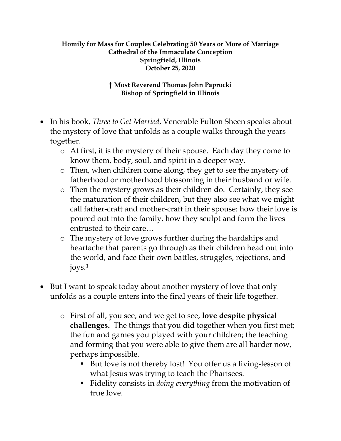## **Homily for Mass for Couples Celebrating 50 Years or More of Marriage Cathedral of the Immaculate Conception Springfield, Illinois October 25, 2020**

## **† Most Reverend Thomas John Paprocki Bishop of Springfield in Illinois**

- In his book, *Three to Get Married*, Venerable Fulton Sheen speaks about the mystery of love that unfolds as a couple walks through the years together.
	- o At first, it is the mystery of their spouse. Each day they come to know them, body, soul, and spirit in a deeper way.
	- o Then, when children come along, they get to see the mystery of fatherhood or motherhood blossoming in their husband or wife.
	- o Then the mystery grows as their children do. Certainly, they see the maturation of their children, but they also see what we might call father-craft and mother-craft in their spouse: how their love is poured out into the family, how they sculpt and form the lives entrusted to their care…
	- o The mystery of love grows further during the hardships and heartache that parents go through as their children head out into the world, and face their own battles, struggles, rejections, and joys.[1](#page-2-0)
- But I want to speak today about another mystery of love that only unfolds as a couple enters into the final years of their life together.
	- o First of all, you see, and we get to see, **love despite physical challenges.** The things that you did together when you first met; the fun and games you played with your children; the teaching and forming that you were able to give them are all harder now, perhaps impossible.
		- But love is not thereby lost! You offer us a living-lesson of what Jesus was trying to teach the Pharisees.
		- Fidelity consists in *doing everything* from the motivation of true love.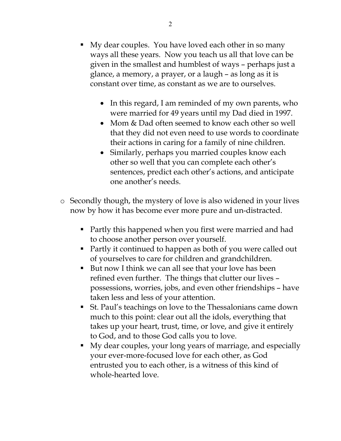- My dear couples. You have loved each other in so many ways all these years. Now you teach us all that love can be given in the smallest and humblest of ways – perhaps just a glance, a memory, a prayer, or a laugh – as long as it is constant over time, as constant as we are to ourselves.
	- In this regard, I am reminded of my own parents, who were married for 49 years until my Dad died in 1997.
	- Mom & Dad often seemed to know each other so well that they did not even need to use words to coordinate their actions in caring for a family of nine children.
	- Similarly, perhaps you married couples know each other so well that you can complete each other's sentences, predict each other's actions, and anticipate one another's needs.
- o Secondly though, the mystery of love is also widened in your lives now by how it has become ever more pure and un-distracted.
	- Partly this happened when you first were married and had to choose another person over yourself.
	- Partly it continued to happen as both of you were called out of yourselves to care for children and grandchildren.
	- But now I think we can all see that your love has been refined even further. The things that clutter our lives – possessions, worries, jobs, and even other friendships – have taken less and less of your attention.
	- St. Paul's teachings on love to the Thessalonians came down much to this point: clear out all the idols, everything that takes up your heart, trust, time, or love, and give it entirely to God, and to those God calls you to love.
	- My dear couples, your long years of marriage, and especially your ever-more-focused love for each other, as God entrusted you to each other, is a witness of this kind of whole-hearted love.